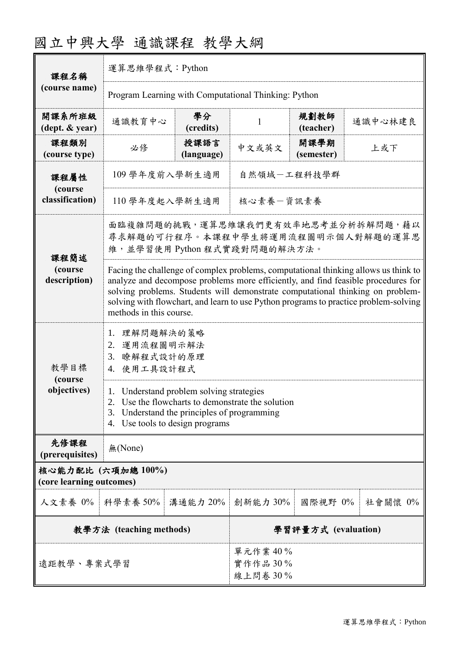| 國立中興大學 通識課程 教學大綱 |  |  |
|------------------|--|--|
|------------------|--|--|

| 課程名稱                                          | 運算思維學程式: Python                                                                                                                                                                                                                                                                                                                                                                                                                                                                          |                               |          |                    |         |  |
|-----------------------------------------------|------------------------------------------------------------------------------------------------------------------------------------------------------------------------------------------------------------------------------------------------------------------------------------------------------------------------------------------------------------------------------------------------------------------------------------------------------------------------------------------|-------------------------------|----------|--------------------|---------|--|
| (course name)                                 | Program Learning with Computational Thinking: Python                                                                                                                                                                                                                                                                                                                                                                                                                                     |                               |          |                    |         |  |
| 開課系所班級<br>$(\text{dept.} \& \text{ year})$    | 通識教育中心                                                                                                                                                                                                                                                                                                                                                                                                                                                                                   | 學分<br>(credits)               | 1        | 規劃教師<br>(teacher)  | 通識中心林建良 |  |
| 課程類別<br>(course type)                         | 必修                                                                                                                                                                                                                                                                                                                                                                                                                                                                                       | 授課語言<br>(language)            | 中文或英文    | 開課學期<br>(semester) | 上或下     |  |
| 課程屬性<br>(course<br>classification)            | 109 學年度前入學新生適用<br>自然領域一工程科技學群                                                                                                                                                                                                                                                                                                                                                                                                                                                            |                               |          |                    |         |  |
|                                               | 核心素養一資訊素養<br>110 學年度起入學新生適用                                                                                                                                                                                                                                                                                                                                                                                                                                                              |                               |          |                    |         |  |
| 課程簡述                                          | 面臨複雜問題的挑戰,運算思維讓我們更有效率地思考並分析拆解問題,藉以<br>尋求解題的可行程序。本課程中學生將運用流程圖明示個人對解題的運算思<br>維,並學習使用 Python 程式實踐對問題的解決方法。<br>Facing the challenge of complex problems, computational thinking allows us think to<br>analyze and decompose problems more efficiently, and find feasible procedures for<br>solving problems. Students will demonstrate computational thinking on problem-<br>solving with flowchart, and learn to use Python programs to practice problem-solving<br>methods in this course. |                               |          |                    |         |  |
| (course<br>description)                       |                                                                                                                                                                                                                                                                                                                                                                                                                                                                                          |                               |          |                    |         |  |
| 教學目標<br>(course                               | 1. 理解問題解決的策略<br>2. 運用流程圖明示解法<br>瞭解程式設計的原理<br>3.<br>4. 使用工具設計程式                                                                                                                                                                                                                                                                                                                                                                                                                           |                               |          |                    |         |  |
| objectives)                                   | 1. Understand problem solving strategies<br>Use the flowcharts to demonstrate the solution<br>2.<br>Understand the principles of programming<br>3.<br>Use tools to design programs<br>4.                                                                                                                                                                                                                                                                                                 |                               |          |                    |         |  |
| 先修課程<br>(prerequisites)                       | 無(None)                                                                                                                                                                                                                                                                                                                                                                                                                                                                                  |                               |          |                    |         |  |
| 核心能力配比 (六項加總100%)<br>(core learning outcomes) |                                                                                                                                                                                                                                                                                                                                                                                                                                                                                          |                               |          |                    |         |  |
| 人文素養 0%   科學素養 50%                            |                                                                                                                                                                                                                                                                                                                                                                                                                                                                                          | 溝通能力 20%                      | 創新能力 30% | 國際視野 0%            | 社會關懷 0% |  |
| 教學方法 (teaching methods)                       |                                                                                                                                                                                                                                                                                                                                                                                                                                                                                          | 學習評量方式 (evaluation)           |          |                    |         |  |
| 遠距教學、專案式學習                                    |                                                                                                                                                                                                                                                                                                                                                                                                                                                                                          | 單元作業40%<br>實作作品30%<br>線上問卷30% |          |                    |         |  |